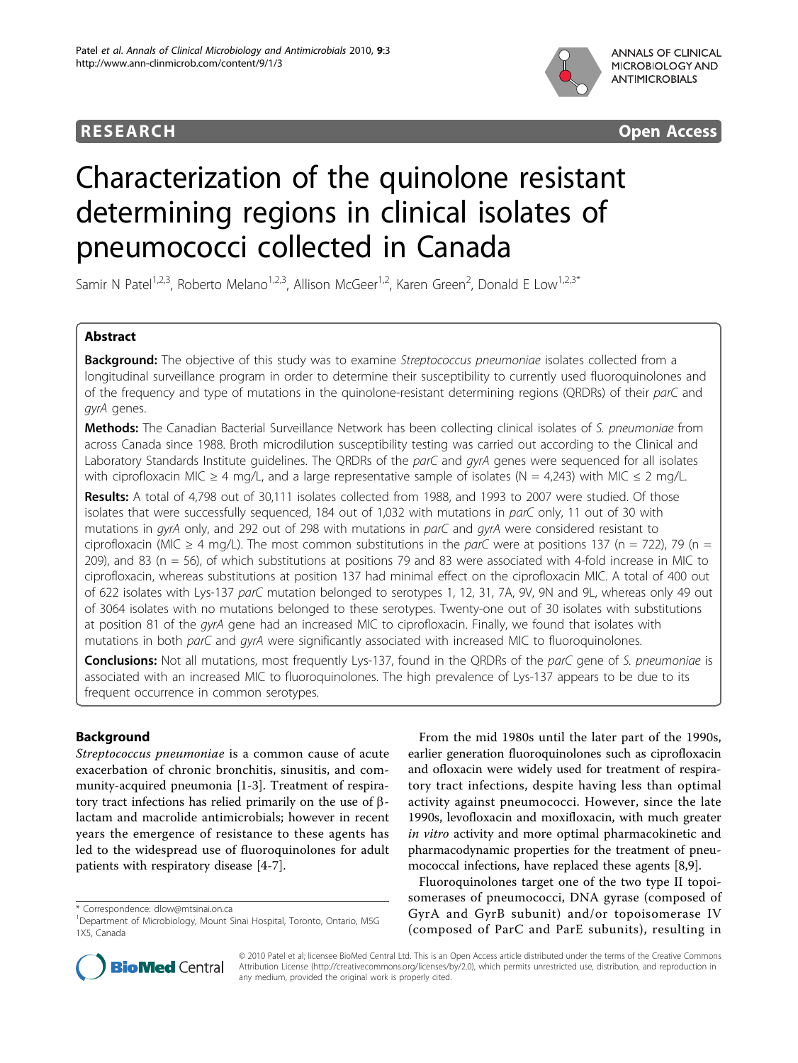



# Characterization of the quinolone resistant determining regions in clinical isolates of pneumococci collected in Canada

Samir N Patel<sup>1,2,3</sup>, Roberto Melano<sup>1,2,3</sup>, Allison McGeer<sup>1,2</sup>, Karen Green<sup>2</sup>, Donald E Low<sup>1,2,3\*</sup>

## Abstract

Background: The objective of this study was to examine Streptococcus pneumoniae isolates collected from a longitudinal surveillance program in order to determine their susceptibility to currently used fluoroquinolones and of the frequency and type of mutations in the quinolone-resistant determining regions (QRDRs) of their parC and gyrA genes.

Methods: The Canadian Bacterial Surveillance Network has been collecting clinical isolates of S. pneumoniae from across Canada since 1988. Broth microdilution susceptibility testing was carried out according to the Clinical and Laboratory Standards Institute guidelines. The QRDRs of the parC and gyrA genes were sequenced for all isolates with ciprofloxacin MIC  $\geq 4$  mg/L, and a large representative sample of isolates (N = 4,243) with MIC  $\leq 2$  mg/L.

Results: A total of 4,798 out of 30,111 isolates collected from 1988, and 1993 to 2007 were studied. Of those isolates that were successfully sequenced, 184 out of 1,032 with mutations in parC only, 11 out of 30 with mutations in gyrA only, and 292 out of 298 with mutations in parC and gyrA were considered resistant to ciprofloxacin (MIC  $\geq$  4 mg/L). The most common substitutions in the parC were at positions 137 (n = 722), 79 (n = 209), and 83 (n = 56), of which substitutions at positions 79 and 83 were associated with 4-fold increase in MIC to ciprofloxacin, whereas substitutions at position 137 had minimal effect on the ciprofloxacin MIC. A total of 400 out of 622 isolates with Lys-137 parC mutation belonged to serotypes 1, 12, 31, 7A, 9V, 9N and 9L, whereas only 49 out of 3064 isolates with no mutations belonged to these serotypes. Twenty-one out of 30 isolates with substitutions at position 81 of the gyrA gene had an increased MIC to ciprofloxacin. Finally, we found that isolates with mutations in both parC and gyrA were significantly associated with increased MIC to fluoroquinolones.

**Conclusions:** Not all mutations, most frequently Lys-137, found in the QRDRs of the parC gene of S. pneumoniae is associated with an increased MIC to fluoroquinolones. The high prevalence of Lys-137 appears to be due to its frequent occurrence in common serotypes.

## Background

Streptococcus pneumoniae is a common cause of acute exacerbation of chronic bronchitis, sinusitis, and community-acquired pneumonia [[1-3](#page-4-0)]. Treatment of respiratory tract infections has relied primarily on the use of  $\beta$ lactam and macrolide antimicrobials; however in recent years the emergence of resistance to these agents has led to the widespread use of fluoroquinolones for adult patients with respiratory disease [[4-7](#page-4-0)].

From the mid 1980s until the later part of the 1990s, earlier generation fluoroquinolones such as ciprofloxacin and ofloxacin were widely used for treatment of respiratory tract infections, despite having less than optimal activity against pneumococci. However, since the late 1990s, levofloxacin and moxifloxacin, with much greater in vitro activity and more optimal pharmacokinetic and pharmacodynamic properties for the treatment of pneumococcal infections, have replaced these agents [[8](#page-4-0),[9](#page-4-0)].

Fluoroquinolones target one of the two type II topoisomerases of pneumococci, DNA gyrase (composed of GyrA and GyrB subunit) and/or topoisomerase IV (composed of ParC and ParE subunits), resulting in



© 2010 Patel et al; licensee BioMed Central Ltd. This is an Open Access article distributed under the terms of the Creative Commons Attribution License [\(http://creativecommons.org/licenses/by/2.0](http://creativecommons.org/licenses/by/2.0)), which permits unrestricted use, distribution, and reproduction in any medium, provided the original work is properly cited.

<sup>\*</sup> Correspondence: [dlow@mtsinai.on.ca](mailto:dlow@mtsinai.on.ca)

<sup>&</sup>lt;sup>1</sup>Department of Microbiology, Mount Sinai Hospital, Toronto, Ontario, M5G 1X5, Canada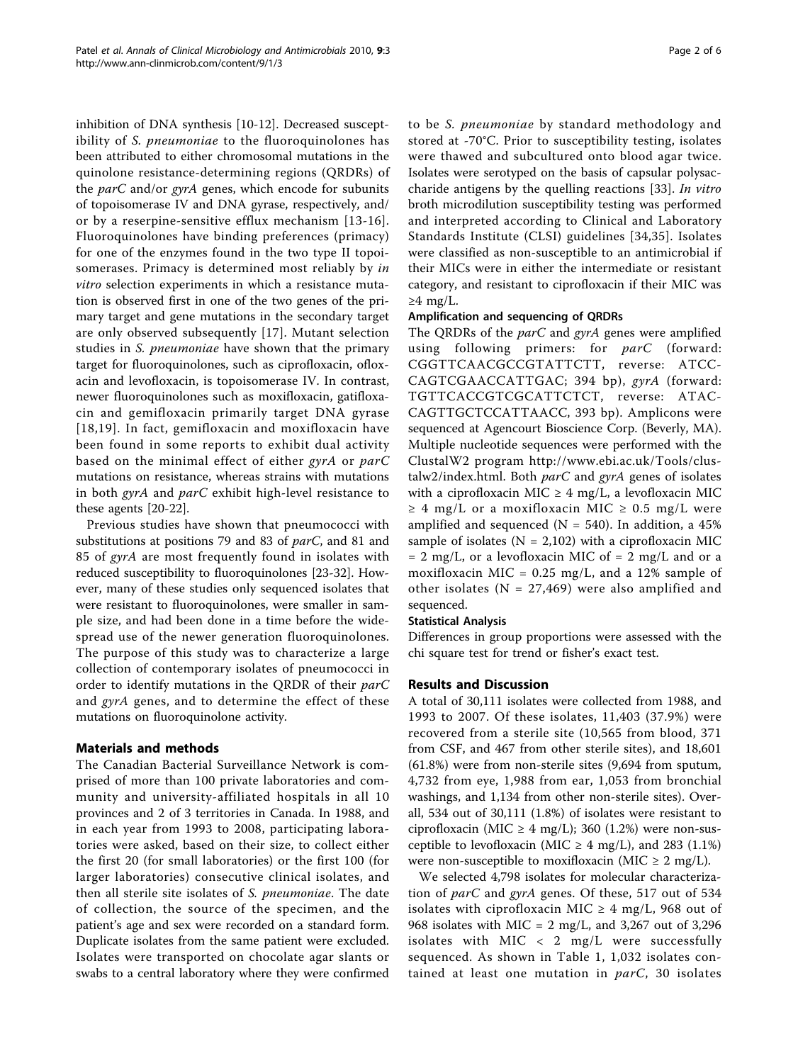inhibition of DNA synthesis [[10](#page-4-0)-[12\]](#page-4-0). Decreased susceptibility of S. pneumoniae to the fluoroquinolones has been attributed to either chromosomal mutations in the quinolone resistance-determining regions (QRDRs) of the parC and/or gyrA genes, which encode for subunits of topoisomerase IV and DNA gyrase, respectively, and/ or by a reserpine-sensitive efflux mechanism [\[13-16\]](#page-4-0). Fluoroquinolones have binding preferences (primacy) for one of the enzymes found in the two type II topoisomerases. Primacy is determined most reliably by in vitro selection experiments in which a resistance mutation is observed first in one of the two genes of the primary target and gene mutations in the secondary target are only observed subsequently [\[17\]](#page-5-0). Mutant selection studies in S. *pneumoniae* have shown that the primary target for fluoroquinolones, such as ciprofloxacin, ofloxacin and levofloxacin, is topoisomerase IV. In contrast,

newer fluoroquinolones such as moxifloxacin, gatifloxacin and gemifloxacin primarily target DNA gyrase [[18,19\]](#page-5-0). In fact, gemifloxacin and moxifloxacin have been found in some reports to exhibit dual activity based on the minimal effect of either gyrA or parC mutations on resistance, whereas strains with mutations in both gyrA and parC exhibit high-level resistance to these agents [\[20-22](#page-5-0)].

Previous studies have shown that pneumococci with substitutions at positions 79 and 83 of *parC*, and 81 and 85 of gyrA are most frequently found in isolates with reduced susceptibility to fluoroquinolones [[23-32\]](#page-5-0). However, many of these studies only sequenced isolates that were resistant to fluoroquinolones, were smaller in sample size, and had been done in a time before the widespread use of the newer generation fluoroquinolones. The purpose of this study was to characterize a large collection of contemporary isolates of pneumococci in order to identify mutations in the QRDR of their *parC* and gyrA genes, and to determine the effect of these mutations on fluoroquinolone activity.

## Materials and methods

The Canadian Bacterial Surveillance Network is comprised of more than 100 private laboratories and community and university-affiliated hospitals in all 10 provinces and 2 of 3 territories in Canada. In 1988, and in each year from 1993 to 2008, participating laboratories were asked, based on their size, to collect either the first 20 (for small laboratories) or the first 100 (for larger laboratories) consecutive clinical isolates, and then all sterile site isolates of S. pneumoniae. The date of collection, the source of the specimen, and the patient's age and sex were recorded on a standard form. Duplicate isolates from the same patient were excluded. Isolates were transported on chocolate agar slants or swabs to a central laboratory where they were confirmed to be S. pneumoniae by standard methodology and stored at -70°C. Prior to susceptibility testing, isolates were thawed and subcultured onto blood agar twice. Isolates were serotyped on the basis of capsular polysaccharide antigens by the quelling reactions [\[33](#page-5-0)]. In vitro broth microdilution susceptibility testing was performed and interpreted according to Clinical and Laboratory Standards Institute (CLSI) guidelines [[34,35\]](#page-5-0). Isolates were classified as non-susceptible to an antimicrobial if their MICs were in either the intermediate or resistant category, and resistant to ciprofloxacin if their MIC was  $≥4$  mg/L.

## Amplification and sequencing of QRDRs

The QRDRs of the *parC* and *gyrA* genes were amplified using following primers: for parC (forward: CGGTTCAACGCCGTATTCTT, reverse: ATCC-CAGTCGAACCATTGAC; 394 bp), gyrA (forward: TGTTCACCGTCGCATTCTCT, reverse: ATAC-CAGTTGCTCCATTAACC, 393 bp). Amplicons were sequenced at Agencourt Bioscience Corp. (Beverly, MA). Multiple nucleotide sequences were performed with the ClustalW2 program [http://www.ebi.ac.uk/Tools/clus](http://www.ebi.ac.uk/Tools/clustalw2/index.html)[talw2/index.html.](http://www.ebi.ac.uk/Tools/clustalw2/index.html) Both  $parC$  and gyrA genes of isolates with a ciprofloxacin MIC  $\geq$  4 mg/L, a levofloxacin MIC  $\geq 4$  mg/L or a moxifloxacin MIC  $\geq 0.5$  mg/L were amplified and sequenced ( $N = 540$ ). In addition, a 45% sample of isolates ( $N = 2,102$ ) with a ciprofloxacin MIC  $= 2$  mg/L, or a levofloxacin MIC of  $= 2$  mg/L and or a moxifloxacin MIC =  $0.25$  mg/L, and a 12% sample of other isolates ( $N = 27,469$ ) were also amplified and sequenced.

## Statistical Analysis

Differences in group proportions were assessed with the chi square test for trend or fisher's exact test.

## Results and Discussion

A total of 30,111 isolates were collected from 1988, and 1993 to 2007. Of these isolates, 11,403 (37.9%) were recovered from a sterile site (10,565 from blood, 371 from CSF, and 467 from other sterile sites), and 18,601 (61.8%) were from non-sterile sites (9,694 from sputum, 4,732 from eye, 1,988 from ear, 1,053 from bronchial washings, and 1,134 from other non-sterile sites). Overall, 534 out of 30,111 (1.8%) of isolates were resistant to ciprofloxacin (MIC  $\geq$  4 mg/L); 360 (1.2%) were non-susceptible to levofloxacin (MIC  $\geq$  4 mg/L), and 283 (1.1%) were non-susceptible to moxifloxacin (MIC  $\geq 2$  mg/L).

We selected 4,798 isolates for molecular characterization of parC and gyrA genes. Of these, 517 out of 534 isolates with ciprofloxacin MIC  $\geq$  4 mg/L, 968 out of 968 isolates with MIC = 2 mg/L, and 3,267 out of 3,296 isolates with MIC < 2 mg/L were successfully sequenced. As shown in Table [1](#page-2-0), 1,032 isolates contained at least one mutation in  $parC$ , 30 isolates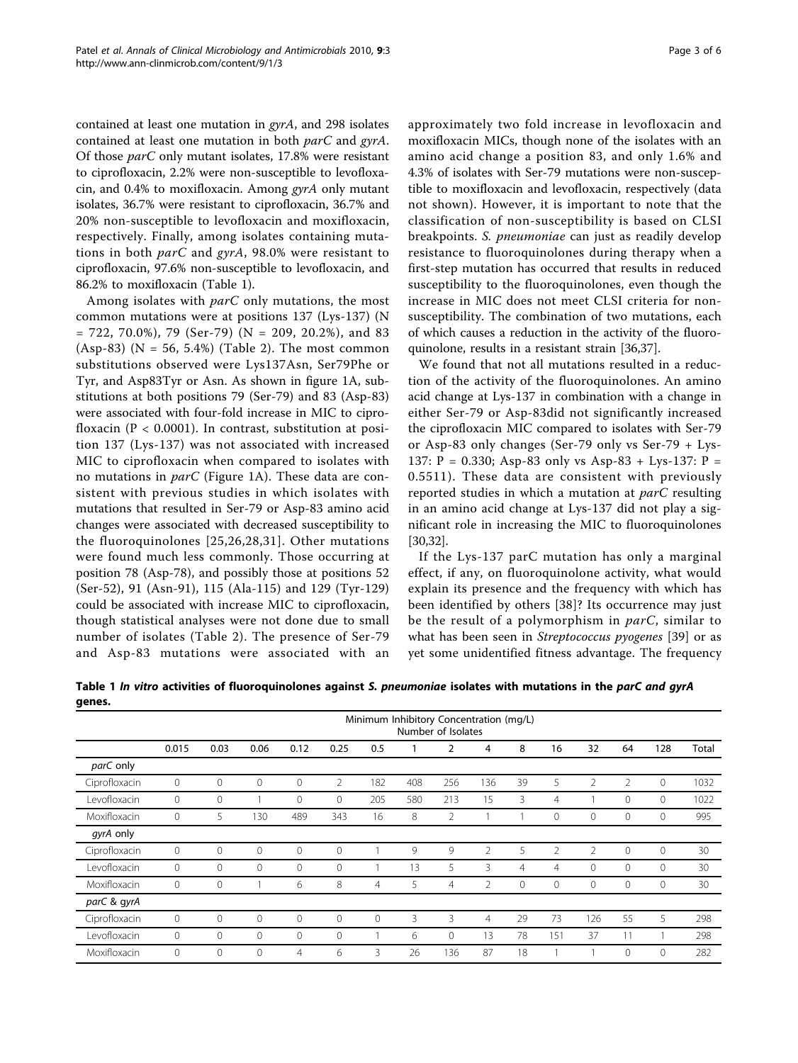<span id="page-2-0"></span>contained at least one mutation in gyrA, and 298 isolates contained at least one mutation in both parC and gyrA. Of those parC only mutant isolates, 17.8% were resistant to ciprofloxacin, 2.2% were non-susceptible to levofloxacin, and 0.4% to moxifloxacin. Among gyrA only mutant isolates, 36.7% were resistant to ciprofloxacin, 36.7% and 20% non-susceptible to levofloxacin and moxifloxacin, respectively. Finally, among isolates containing mutations in both parC and gyrA, 98.0% were resistant to ciprofloxacin, 97.6% non-susceptible to levofloxacin, and 86.2% to moxifloxacin (Table 1).

Among isolates with parC only mutations, the most common mutations were at positions 137 (Lys-137) (N  $= 722, 70.0\%$ , 79 (Ser-79) (N  $= 209, 20.2\%$ ), and 83 (Asp-83) (N = 56, 5.4%) (Table [2](#page-3-0)). The most common substitutions observed were Lys137Asn, Ser79Phe or Tyr, and Asp83Tyr or Asn. As shown in figure [1A](#page-3-0), substitutions at both positions 79 (Ser-79) and 83 (Asp-83) were associated with four-fold increase in MIC to ciprofloxacin ( $P < 0.0001$ ). In contrast, substitution at position 137 (Lys-137) was not associated with increased MIC to ciprofloxacin when compared to isolates with no mutations in  $parC$  (Figure [1A](#page-3-0)). These data are consistent with previous studies in which isolates with mutations that resulted in Ser-79 or Asp-83 amino acid changes were associated with decreased susceptibility to the fluoroquinolones [[25,26,28,31\]](#page-5-0). Other mutations were found much less commonly. Those occurring at position 78 (Asp-78), and possibly those at positions 52 (Ser-52), 91 (Asn-91), 115 (Ala-115) and 129 (Tyr-129) could be associated with increase MIC to ciprofloxacin, though statistical analyses were not done due to small number of isolates (Table [2\)](#page-3-0). The presence of Ser-79 and Asp-83 mutations were associated with an approximately two fold increase in levofloxacin and moxifloxacin MICs, though none of the isolates with an amino acid change a position 83, and only 1.6% and 4.3% of isolates with Ser-79 mutations were non-susceptible to moxifloxacin and levofloxacin, respectively (data not shown). However, it is important to note that the classification of non-susceptibility is based on CLSI breakpoints. S. pneumoniae can just as readily develop resistance to fluoroquinolones during therapy when a first-step mutation has occurred that results in reduced susceptibility to the fluoroquinolones, even though the increase in MIC does not meet CLSI criteria for nonsusceptibility. The combination of two mutations, each of which causes a reduction in the activity of the fluoroquinolone, results in a resistant strain [\[36,37\]](#page-5-0).

We found that not all mutations resulted in a reduction of the activity of the fluoroquinolones. An amino acid change at Lys-137 in combination with a change in either Ser-79 or Asp-83did not significantly increased the ciprofloxacin MIC compared to isolates with Ser-79 or Asp-83 only changes (Ser-79 only vs Ser-79 + Lys-137: P = 0.330; Asp-83 only vs Asp-83 + Lys-137: P = 0.5511). These data are consistent with previously reported studies in which a mutation at parC resulting in an amino acid change at Lys-137 did not play a significant role in increasing the MIC to fluoroquinolones [[30,32\]](#page-5-0).

If the Lys-137 parC mutation has only a marginal effect, if any, on fluoroquinolone activity, what would explain its presence and the frequency with which has been identified by others [[38\]](#page-5-0)? Its occurrence may just be the result of a polymorphism in *parC*, similar to what has been seen in Streptococcus pyogenes [[39](#page-5-0)] or as yet some unidentified fitness advantage. The frequency

Table 1 In vitro activities of fluoroquinolones against S. pneumoniae isolates with mutations in the parC and gyrA genes.

|               | Minimum Inhibitory Concentration (mg/L)<br>Number of Isolates |              |              |              |                |          |     |                |                |              |     |                |                |              |       |
|---------------|---------------------------------------------------------------|--------------|--------------|--------------|----------------|----------|-----|----------------|----------------|--------------|-----|----------------|----------------|--------------|-------|
|               | 0.015                                                         | 0.03         | 0.06         | 0.12         | 0.25           | 0.5      |     | 2              | 4              | 8            | 16  | 32             | 64             | 128          | Total |
| parC only     |                                                               |              |              |              |                |          |     |                |                |              |     |                |                |              |       |
| Ciprofloxacin | $\mathbf{0}$                                                  | $\mathbf{0}$ | $\Omega$     | $\mathbf 0$  | $\overline{2}$ | 182      | 408 | 256            | 136            | 39           | 5   | $\overline{2}$ | $\overline{2}$ | 0            | 1032  |
| Levofloxacin  | $\Omega$                                                      | $\mathbf{0}$ |              | 0            | $\mathbf{0}$   | 205      | 580 | 213            | 15             | 3            | 4   |                | $\Omega$       | 0            | 1022  |
| Moxifloxacin  | $\mathbf{0}$                                                  | 5            | 130          | 489          | 343            | 16       | 8   | $\overline{2}$ |                |              | 0   | $\mathbf{0}$   | $\circ$        | $\circ$      | 995   |
| gyrA only     |                                                               |              |              |              |                |          |     |                |                |              |     |                |                |              |       |
| Ciprofloxacin | $\Omega$                                                      | $\Omega$     | $\Omega$     | $\Omega$     | $\mathbf{0}$   |          | 9   | 9              | $\overline{2}$ | 5            | 2   | 2              | $\Omega$       | $\mathbf{0}$ | 30    |
| Levofloxacin  | $\Omega$                                                      | $\mathbf{0}$ | $\Omega$     | 0            | 0              |          | 13  | 5              | 3              | 4            | 4   | $\Omega$       | $\circ$        | $\circ$      | 30    |
| Moxifloxacin  | $\mathbf{0}$                                                  | $\mathbf{0}$ |              | 6            | 8              | 4        | 5   | $\overline{4}$ | 2              | $\mathbf{0}$ | 0   | $\mathbf{0}$   | $\mathbf{0}$   | $\circ$      | 30    |
| parC & gyrA   |                                                               |              |              |              |                |          |     |                |                |              |     |                |                |              |       |
| Ciprofloxacin | $\mathbf{0}$                                                  | $\Omega$     | $\Omega$     | $\mathbf{0}$ | $\mathbf{0}$   | $\Omega$ | 3   | 3              | 4              | 29           | 73  | 126            | 55             | 5            | 298   |
| Levofloxacin  | $\mathbf{0}$                                                  | $\mathbf{0}$ | $\Omega$     | $\mathbf{0}$ | $\mathbf{0}$   |          | 6   | $\mathbf{0}$   | 13             | 78           | 151 | 37             | 11             |              | 298   |
| Moxifloxacin  | $\mathbf{0}$                                                  | $\mathbf{0}$ | $\mathbf{0}$ | 4            | 6              | 3        | 26  | 136            | 87             | 18           |     |                | $\circ$        | 0            | 282   |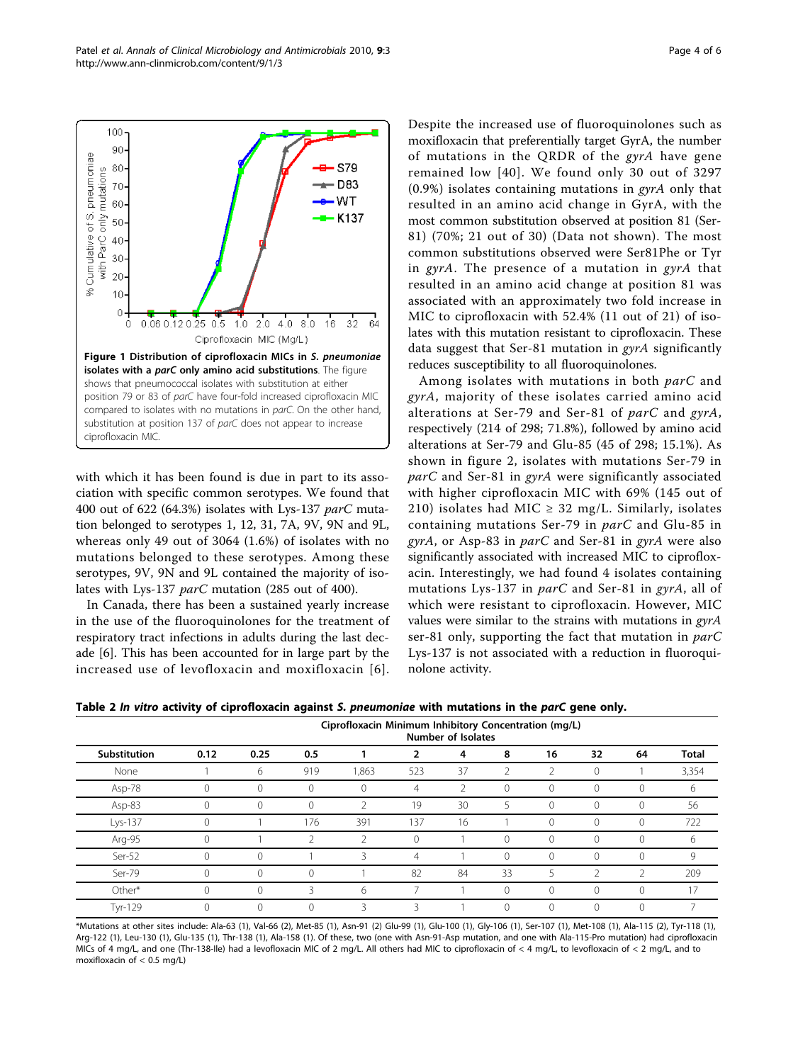with which it has been found is due in part to its association with specific common serotypes. We found that 400 out of 622 (64.3%) isolates with Lys-137  $parC$  mutation belonged to serotypes 1, 12, 31, 7A, 9V, 9N and 9L, whereas only 49 out of 3064 (1.6%) of isolates with no mutations belonged to these serotypes. Among these serotypes, 9V, 9N and 9L contained the majority of isolates with Lys-137 parC mutation (285 out of 400).

In Canada, there has been a sustained yearly increase in the use of the fluoroquinolones for the treatment of respiratory tract infections in adults during the last decade [\[6\]](#page-4-0). This has been accounted for in large part by the increased use of levofloxacin and moxifloxacin [[6\]](#page-4-0). Despite the increased use of fluoroquinolones such as moxifloxacin that preferentially target GyrA, the number of mutations in the QRDR of the gyrA have gene remained low [[40\]](#page-5-0). We found only 30 out of 3297  $(0.9\%)$  isolates containing mutations in gyrA only that resulted in an amino acid change in GyrA, with the most common substitution observed at position 81 (Ser-81) (70%; 21 out of 30) (Data not shown). The most common substitutions observed were Ser81Phe or Tyr in gyrA. The presence of a mutation in gyrA that resulted in an amino acid change at position 81 was associated with an approximately two fold increase in MIC to ciprofloxacin with 52.4% (11 out of 21) of isolates with this mutation resistant to ciprofloxacin. These data suggest that Ser-81 mutation in gyrA significantly reduces susceptibility to all fluoroquinolones.

Among isolates with mutations in both parC and gyrA, majority of these isolates carried amino acid alterations at Ser-79 and Ser-81 of parC and gyrA, respectively (214 of 298; 71.8%), followed by amino acid alterations at Ser-79 and Glu-85 (45 of 298; 15.1%). As shown in figure [2,](#page-4-0) isolates with mutations Ser-79 in parC and Ser-81 in gyrA were significantly associated with higher ciprofloxacin MIC with 69% (145 out of 210) isolates had MIC  $\geq$  32 mg/L. Similarly, isolates containing mutations Ser-79 in parC and Glu-85 in *gyrA*, or Asp-83 in  $parC$  and Ser-81 in *gyrA* were also significantly associated with increased MIC to ciprofloxacin. Interestingly, we had found 4 isolates containing mutations Lys-137 in parC and Ser-81 in gyrA, all of which were resistant to ciprofloxacin. However, MIC values were similar to the strains with mutations in gyrA ser-81 only, supporting the fact that mutation in *parC* Lys-137 is not associated with a reduction in fluoroquinolone activity.



|              | Ciprofloxacin Minimum Inhibitory Concentration (mg/L)<br><b>Number of Isolates</b> |          |          |               |                |               |              |               |          |          |              |  |
|--------------|------------------------------------------------------------------------------------|----------|----------|---------------|----------------|---------------|--------------|---------------|----------|----------|--------------|--|
| Substitution | 0.12                                                                               | 0.25     | 0.5      |               | $\overline{2}$ | 4             | 8            | 16            | 32       | 64       | <b>Total</b> |  |
| None         |                                                                                    | 6        | 919      | 1,863         | 523            | 37            | 2            | $\mathcal{P}$ | $\Omega$ |          | 3,354        |  |
| Asp-78       |                                                                                    | $\Omega$ | $\Omega$ | $\Omega$      | 4              | $\mathcal{D}$ | $\mathbf{0}$ |               | $\Omega$ |          | 6            |  |
| Asp-83       |                                                                                    | 0        | $\Omega$ | $\mathcal{D}$ | 19             | 30            | 5            |               |          |          | 56           |  |
| $Lys-137$    |                                                                                    |          | 176      | 391           | 137            | 16            |              |               | $\Omega$ |          | 722          |  |
| Arg-95       |                                                                                    |          | ำ        | ำ             | $\Omega$       |               | $\mathbf{0}$ | $\Omega$      | $\Omega$ | $\Omega$ | 6            |  |
| Ser-52       |                                                                                    | 0        |          | 3             | 4              |               | $\mathbf{0}$ | $\Omega$      | $\Omega$ | 0        | 9            |  |
| Ser-79       |                                                                                    | $\Omega$ | $\Omega$ |               | 82             | 84            | 33           | 5             | 2        |          | 209          |  |
| Other*       |                                                                                    | $\Omega$ | 3        | 6             |                |               | $\mathbf{0}$ | $\Omega$      | $\Omega$ |          | 17           |  |
| Tyr-129      | 0                                                                                  | $\Omega$ | $\Omega$ | 3             | 3              |               | $\mathbf{0}$ | 0             | $\Omega$ |          | ⇁            |  |

\*Mutations at other sites include: Ala-63 (1), Val-66 (2), Met-85 (1), Asn-91 (2) Glu-99 (1), Glu-100 (1), Gly-106 (1), Ser-107 (1), Met-108 (1), Ala-115 (2), Tyr-118 (1), Arg-122 (1), Leu-130 (1), Glu-135 (1), Thr-138 (1), Ala-158 (1). Of these, two (one with Asn-91-Asp mutation, and one with Ala-115-Pro mutation) had ciprofloxacin MICs of 4 mg/L, and one (Thr-138-Ile) had a levofloxacin MIC of 2 mg/L. All others had MIC to ciprofloxacin of < 4 mg/L, to levofloxacin of < 2 mg/L, and to moxifloxacin of < 0.5 mg/L)

<span id="page-3-0"></span>Patel et al. Annals of Clinical Microbiology and Antimicrobials 2010, 9:3

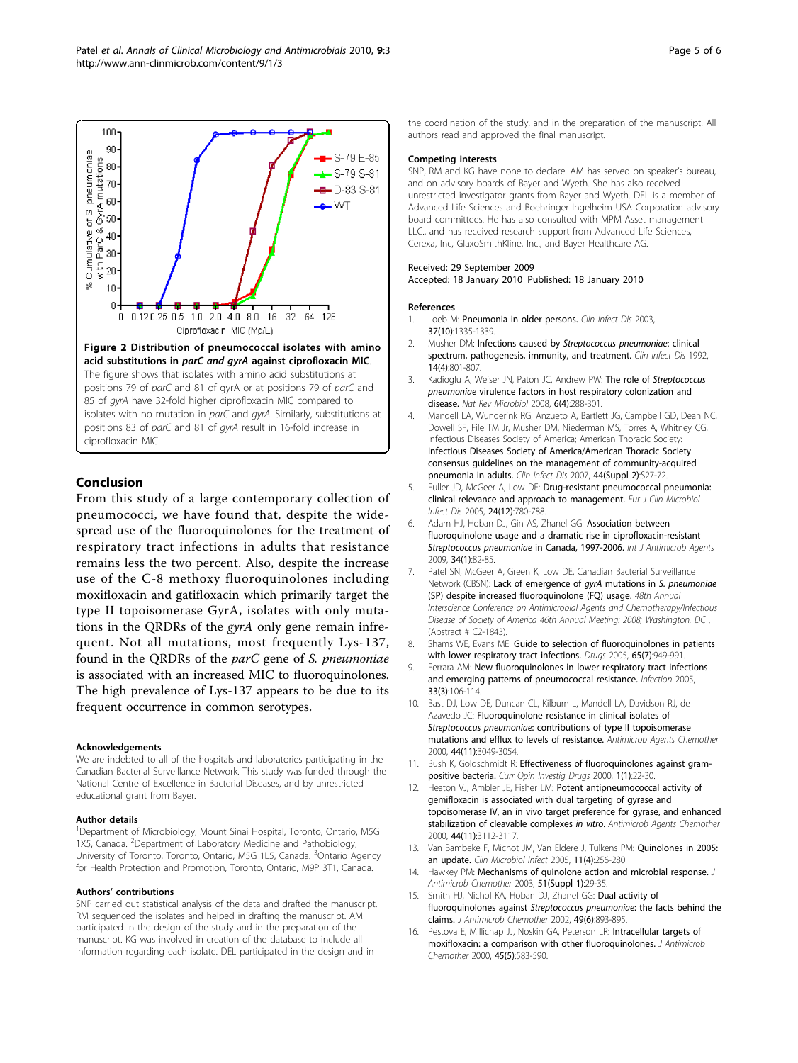<span id="page-4-0"></span>

### Conclusion

From this study of a large contemporary collection of pneumococci, we have found that, despite the widespread use of the fluoroquinolones for the treatment of respiratory tract infections in adults that resistance remains less the two percent. Also, despite the increase use of the C-8 methoxy fluoroquinolones including moxifloxacin and gatifloxacin which primarily target the type II topoisomerase GyrA, isolates with only mutations in the QRDRs of the gyrA only gene remain infrequent. Not all mutations, most frequently Lys-137, found in the QRDRs of the parC gene of S. pneumoniae is associated with an increased MIC to fluoroquinolones. The high prevalence of Lys-137 appears to be due to its frequent occurrence in common serotypes.

#### Acknowledgements

We are indebted to all of the hospitals and laboratories participating in the Canadian Bacterial Surveillance Network. This study was funded through the National Centre of Excellence in Bacterial Diseases, and by unrestricted educational grant from Bayer.

#### Author details

<sup>1</sup>Department of Microbiology, Mount Sinai Hospital, Toronto, Ontario, M5G 1X5, Canada. <sup>2</sup>Department of Laboratory Medicine and Pathobiology, University of Toronto, Toronto, Ontario, M5G 1L5, Canada. <sup>3</sup>Ontario Agency for Health Protection and Promotion, Toronto, Ontario, M9P 3T1, Canada.

#### Authors' contributions

SNP carried out statistical analysis of the data and drafted the manuscript. RM sequenced the isolates and helped in drafting the manuscript. AM participated in the design of the study and in the preparation of the manuscript. KG was involved in creation of the database to include all information regarding each isolate. DEL participated in the design and in

the coordination of the study, and in the preparation of the manuscript. All authors read and approved the final manuscript.

#### Competing interests

SNP, RM and KG have none to declare. AM has served on speaker's bureau, and on advisory boards of Bayer and Wyeth. She has also received unrestricted investigator grants from Bayer and Wyeth. DEL is a member of Advanced Life Sciences and Boehringer Ingelheim USA Corporation advisory board committees. He has also consulted with MPM Asset management LLC., and has received research support from Advanced Life Sciences, Cerexa, Inc, GlaxoSmithKline, Inc., and Bayer Healthcare AG.

## References

Received: 29 September 2009

1. Loeb M: [Pneumonia in older persons.](http://www.ncbi.nlm.nih.gov/pubmed/14583867?dopt=Abstract) Clin Infect Dis 2003, 37(10):1335-1339.

Accepted: 18 January 2010 Published: 18 January 2010

- 2. Musher DM: Infections caused by [Streptococcus pneumoniae](http://www.ncbi.nlm.nih.gov/pubmed/1576274?dopt=Abstract): clinical [spectrum, pathogenesis, immunity, and treatment.](http://www.ncbi.nlm.nih.gov/pubmed/1576274?dopt=Abstract) Clin Infect Dis 1992, 14(4):801-807.
- 3. Kadioglu A, Weiser JN, Paton JC, Andrew PW: The role of [Streptococcus](http://www.ncbi.nlm.nih.gov/pubmed/18340341?dopt=Abstract) pneumoniae [virulence factors in host respiratory colonization and](http://www.ncbi.nlm.nih.gov/pubmed/18340341?dopt=Abstract) [disease.](http://www.ncbi.nlm.nih.gov/pubmed/18340341?dopt=Abstract) Nat Rev Microbiol 2008, 6(4):288-301.
- 4. Mandell LA, Wunderink RG, Anzueto A, Bartlett JG, Campbell GD, Dean NC, Dowell SF, File TM Jr, Musher DM, Niederman MS, Torres A, Whitney CG, Infectious Diseases Society of America; American Thoracic Society: [Infectious Diseases Society of America/American Thoracic Society](http://www.ncbi.nlm.nih.gov/pubmed/17278083?dopt=Abstract) [consensus guidelines on the management of community-acquired](http://www.ncbi.nlm.nih.gov/pubmed/17278083?dopt=Abstract) [pneumonia in adults.](http://www.ncbi.nlm.nih.gov/pubmed/17278083?dopt=Abstract) Clin Infect Dis 2007, 44(Suppl 2):S27-72.
- 5. Fuller JD, McGeer A, Low DE: [Drug-resistant pneumococcal pneumonia:](http://www.ncbi.nlm.nih.gov/pubmed/16344922?dopt=Abstract) [clinical relevance and approach to management.](http://www.ncbi.nlm.nih.gov/pubmed/16344922?dopt=Abstract) Eur J Clin Microbiol Infect Dis 2005, 24(12):780-788.
- Adam HJ, Hoban DJ, Gin AS, Zhanel GG: [Association between](http://www.ncbi.nlm.nih.gov/pubmed/19342204?dopt=Abstract) [fluoroquinolone usage and a dramatic rise in ciprofloxacin-resistant](http://www.ncbi.nlm.nih.gov/pubmed/19342204?dopt=Abstract) [Streptococcus pneumoniae](http://www.ncbi.nlm.nih.gov/pubmed/19342204?dopt=Abstract) in Canada, 1997-2006. Int J Antimicrob Agents 2009, 34(1):82-85.
- 7. Patel SN, McGeer A, Green K, Low DE, Canadian Bacterial Surveillance Network (CBSN): Lack of emergence of gyrA mutations in S. pneumoniae (SP) despite increased fluoroquinolone (FQ) usage. 48th Annual Interscience Conference on Antimicrobial Agents and Chemotherapy/Infectious Disease of Society of America 46th Annual Meeting: 2008; Washington, DC , (Abstract # C2-1843).
- 8. Shams WE, Evans ME: [Guide to selection of fluoroquinolones in patients](http://www.ncbi.nlm.nih.gov/pubmed/15892589?dopt=Abstract) [with lower respiratory tract infections.](http://www.ncbi.nlm.nih.gov/pubmed/15892589?dopt=Abstract) Drugs 2005, 65(7):949-991.
- 9. Ferrara AM: [New fluoroquinolones in lower respiratory tract infections](http://www.ncbi.nlm.nih.gov/pubmed/15940410?dopt=Abstract) [and emerging patterns of pneumococcal resistance.](http://www.ncbi.nlm.nih.gov/pubmed/15940410?dopt=Abstract) Infection 2005, 33(3):106-114.
- 10. Bast DJ, Low DE, Duncan CL, Kilburn L, Mandell LA, Davidson RJ, de Azavedo JC: [Fluoroquinolone resistance in clinical isolates of](http://www.ncbi.nlm.nih.gov/pubmed/11036021?dopt=Abstract) Streptococcus pneumoniae[: contributions of type II topoisomerase](http://www.ncbi.nlm.nih.gov/pubmed/11036021?dopt=Abstract) [mutations and efflux to levels of resistance.](http://www.ncbi.nlm.nih.gov/pubmed/11036021?dopt=Abstract) Antimicrob Agents Chemother 2000, 44(11):3049-3054.
- 11. Bush K, Goldschmidt R: [Effectiveness of fluoroquinolones against gram](http://www.ncbi.nlm.nih.gov/pubmed/11249591?dopt=Abstract)[positive bacteria.](http://www.ncbi.nlm.nih.gov/pubmed/11249591?dopt=Abstract) Curr Opin Investig Drugs 2000, 1(1):22-30.
- 12. Heaton VJ, Ambler JE, Fisher LM: [Potent antipneumococcal activity of](http://www.ncbi.nlm.nih.gov/pubmed/11036032?dopt=Abstract) [gemifloxacin is associated with dual targeting of gyrase and](http://www.ncbi.nlm.nih.gov/pubmed/11036032?dopt=Abstract) [topoisomerase IV, an in vivo target preference for gyrase, and enhanced](http://www.ncbi.nlm.nih.gov/pubmed/11036032?dopt=Abstract) [stabilization of cleavable complexes](http://www.ncbi.nlm.nih.gov/pubmed/11036032?dopt=Abstract) in vitro. Antimicrob Agents Chemother 2000, 44(11):3112-3117.
- 13. Van Bambeke F, Michot JM, Van Eldere J, Tulkens PM: [Quinolones in 2005:](http://www.ncbi.nlm.nih.gov/pubmed/15760423?dopt=Abstract) [an update.](http://www.ncbi.nlm.nih.gov/pubmed/15760423?dopt=Abstract) Clin Microbiol Infect 2005, 11(4):256-280.
- 14. Hawkey PM: [Mechanisms of quinolone action and microbial response.](http://www.ncbi.nlm.nih.gov/pubmed/12702701?dopt=Abstract) J Antimicrob Chemother 2003, 51(Suppl 1):29-35.
- 15. Smith HJ, Nichol KA, Hoban DJ, Zhanel GG: [Dual activity of](http://www.ncbi.nlm.nih.gov/pubmed/12039880?dopt=Abstract) fluoroquinolones against [Streptococcus pneumoniae](http://www.ncbi.nlm.nih.gov/pubmed/12039880?dopt=Abstract): the facts behind the [claims.](http://www.ncbi.nlm.nih.gov/pubmed/12039880?dopt=Abstract) J Antimicrob Chemother 2002, 49(6):893-895.
- 16. Pestova E, Millichap JJ, Noskin GA, Peterson LR: [Intracellular targets of](http://www.ncbi.nlm.nih.gov/pubmed/10797078?dopt=Abstract) [moxifloxacin: a comparison with other fluoroquinolones.](http://www.ncbi.nlm.nih.gov/pubmed/10797078?dopt=Abstract) J Antimicrob Chemother 2000, 45(5):583-590.